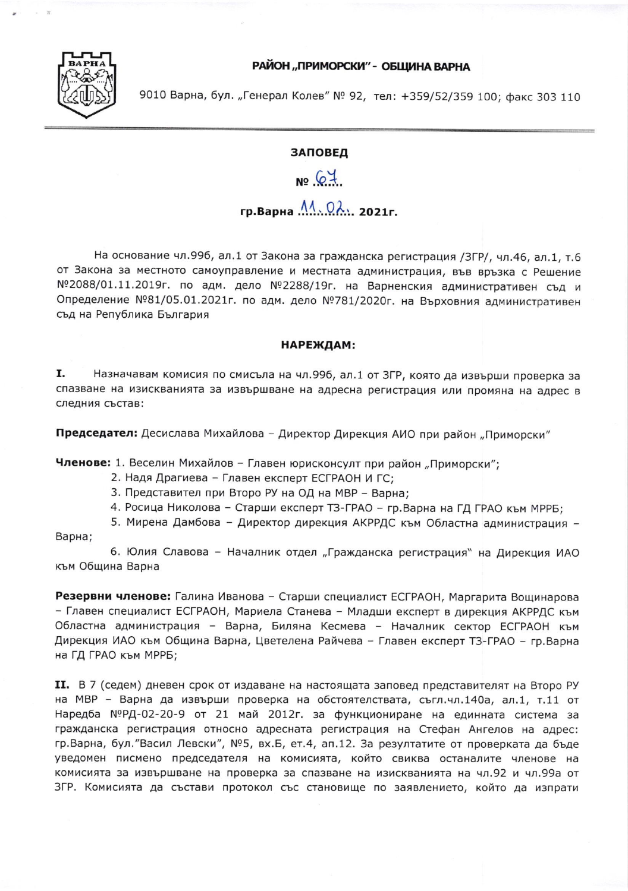РАЙОН "ПРИМОРСКИ" - ОБЩИНА ВАРНА



9010 Варна, бул. "Генерал Колев" № 92, тел: +359/52/359 100; факс 303 110

## ЗАПОВЕД

## $N964$

## 

На основание чл.996, ал.1 от Закона за гражданска регистрация /ЗГР/, чл.46, ал.1, т.6 от Закона за местното самоуправление и местната администрация, във връзка с Решение №2088/01.11.2019г. по адм. дело №2288/19г. на Варненския административен съд и Определение №81/05.01.2021г. по адм. дело №781/2020г. на Върховния административен съд на Република България

## НАРЕЖДАМ:

Ι. Назначавам комисия по смисъла на чл.996, ал.1 от ЗГР, която да извърши проверка за спазване на изискванията за извършване на адресна регистрация или промяна на адрес в следния състав:

Председател: Десислава Михайлова - Директор Дирекция АИО при район "Приморски"

Членове: 1. Веселин Михайлов - Главен юрисконсулт при район "Приморски";

- 2. Надя Драгиева Главен експерт ЕСГРАОН И ГС;
- 3. Представител при Второ РУ на ОД на МВР Варна;
- 4. Росица Николова Старши експерт ТЗ-ГРАО гр. Варна на ГД ГРАО към МРРБ;

5. Мирена Дамбова - Директор дирекция АКРРДС към Областна администрация -

Варна;

6. Юлия Славова - Началник отдел "Гражданска регистрация" на Дирекция ИАО към Община Варна

Резервни членове: Галина Иванова - Старши специалист ЕСГРАОН, Маргарита Вощинарова - Главен специалист ЕСГРАОН, Мариела Станева - Младши експерт в дирекция АКРРДС към Областна администрация - Варна, Биляна Кесмева - Началник сектор ЕСГРАОН към Дирекция ИАО към Община Варна, Цветелена Райчева – Главен експерт ТЗ-ГРАО – гр.Варна на ГД ГРАО към МРРБ;

II. В 7 (седем) дневен срок от издаване на настоящата заповед представителят на Второ РУ на МВР - Варна да извърши проверка на обстоятелствата, съгл.чл.140а, ал.1, т.11 от Наредба №РД-02-20-9 от 21 май 2012г. за функциониране на единната система за гражданска регистрация относно адресната регистрация на Стефан Ангелов на адрес: гр. Варна, бул. "Васил Левски", №5, вх. Б, ет. 4, ап. 12. За резултатите от проверката да бъде уведомен писмено председателя на комисията, който свиква останалите членове на комисията за извършване на проверка за спазване на изискванията на чл.92 и чл.99а от ЗГР. Комисията да състави протокол със становище по заявлението, който да изпрати